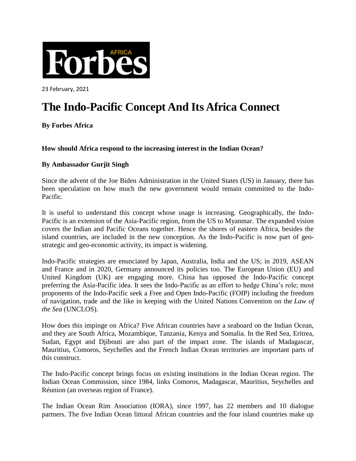

23 February, 2021

## **The Indo-Pacific Concept And Its Africa Connect**

**By Forbes Africa**

## **How should Africa respond to the increasing interest in the Indian Ocean?**

## **By Ambassador Gurjit Singh**

Since the advent of the Joe Biden Administration in the United States (US) in January, there has been speculation on how much the new government would remain committed to the Indo-Pacific.

It is useful to understand this concept whose usage is increasing. Geographically, the Indo-Pacific is an extension of the Asia-Pacific region, from the US to Myanmar. The expanded vision covers the Indian and Pacific Oceans together. Hence the shores of eastern Africa, besides the island countries, are included in the new conception. As the Indo-Pacific is now part of geostrategic and geo-economic activity, its impact is widening.

Indo-Pacific strategies are enunciated by Japan, Australia, India and the US; in 2019, ASEAN and France and in 2020, Germany announced its policies too. The European Union (EU) and United Kingdom (UK) are engaging more. China has opposed the Indo-Pacific concept preferring the Asia-Pacific idea. It sees the Indo-Pacific as an effort to hedge China's role; most proponents of the Indo-Pacific seek a Free and Open Indo-Pacific (FOIP) including the freedom of navigation, trade and the like in keeping with the United Nations Convention on the *Law of the Sea* (UNCLOS).

How does this impinge on Africa? Five African countries have a seaboard on the Indian Ocean, and they are South Africa, Mozambique, Tanzania, Kenya and Somalia. In the Red Sea, Eritrea, Sudan, Egypt and Djibouti are also part of the impact zone. The islands of Madagascar, Mauritius, Comoros, Seychelles and the French Indian Ocean territories are important parts of this construct.

The Indo-Pacific concept brings focus on existing institutions in the Indian Ocean region. The Indian Ocean Commission, since 1984, links Comoros, Madagascar, Mauritius, Seychelles and Réunion (an overseas region of France).

The Indian Ocean Rim Association (IORA), since 1997, has 22 members and 10 dialogue partners. The five Indian Ocean littoral African countries and the four island countries make up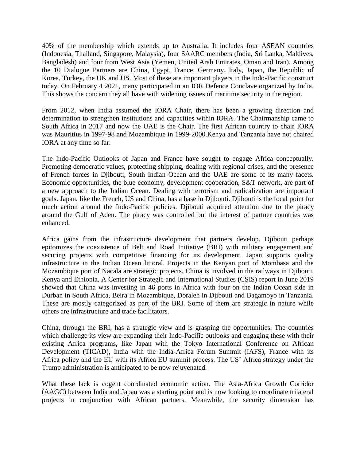40% of the membership which extends up to Australia. It includes four ASEAN countries (Indonesia, Thailand, Singapore, Malaysia), four SAARC members (India, Sri Lanka, Maldives, Bangladesh) and four from West Asia (Yemen, United Arab Emirates, Oman and Iran). Among the 10 Dialogue Partners are China, Egypt, France, Germany, Italy, Japan, the Republic of Korea, Turkey, the UK and US. Most of these are important players in the Indo-Pacific construct today. On February 4 2021, many participated in an IOR Defence Conclave organized by India. This shows the concern they all have with widening issues of maritime security in the region.

From 2012, when India assumed the IORA Chair, there has been a growing direction and determination to strengthen institutions and capacities within IORA. The Chairmanship came to South Africa in 2017 and now the UAE is the Chair. The first African country to chair IORA was Mauritius in 1997-98 and Mozambique in 1999-2000.Kenya and Tanzania have not chaired IORA at any time so far.

The Indo-Pacific Outlooks of Japan and France have sought to engage Africa conceptually. Promoting democratic values, protecting shipping, dealing with regional crises, and the presence of French forces in Djibouti, South Indian Ocean and the UAE are some of its many facets. Economic opportunities, the blue economy, development cooperation, S&T network, are part of a new approach to the Indian Ocean. Dealing with terrorism and radicalization are important goals. Japan, like the French, US and China, has a base in Djibouti. Djibouti is the focal point for much action around the Indo-Pacific policies. Djibouti acquired attention due to the piracy around the Gulf of Aden. The piracy was controlled but the interest of partner countries was enhanced.

Africa gains from the infrastructure development that partners develop. Djibouti perhaps epitomizes the coexistence of Belt and Road Initiative (BRI) with military engagement and securing projects with competitive financing for its development. Japan supports quality infrastructure in the Indian Ocean littoral. Projects in the Kenyan port of Mombasa and the Mozambique port of Nacala are strategic projects. China is involved in the railways in Djibouti, Kenya and Ethiopia. A Center for Strategic and International Studies (CSIS) report in June 2019 showed that China was investing in 46 ports in Africa with four on the Indian Ocean side in Durban in South Africa, Beira in Mozambique, Doraleh in Djibouti and Bagamoyo in Tanzania. These are mostly categorized as part of the BRI. Some of them are strategic in nature while others are infrastructure and trade facilitators.

China, through the BRI, has a strategic view and is grasping the opportunities. The countries which challenge its view are expanding their Indo-Pacific outlooks and engaging these with their existing Africa programs, like Japan with the Tokyo International Conference on African Development (TICAD), India with the India-Africa Forum Summit (IAFS), France with its Africa policy and the EU with its Africa EU summit process. The US' Africa strategy under the Trump administration is anticipated to be now rejuvenated.

What these lack is cogent coordinated economic action. The Asia-Africa Growth Corridor (AAGC) between India and Japan was a starting point and is now looking to coordinate trilateral projects in conjunction with African partners. Meanwhile, the security dimension has